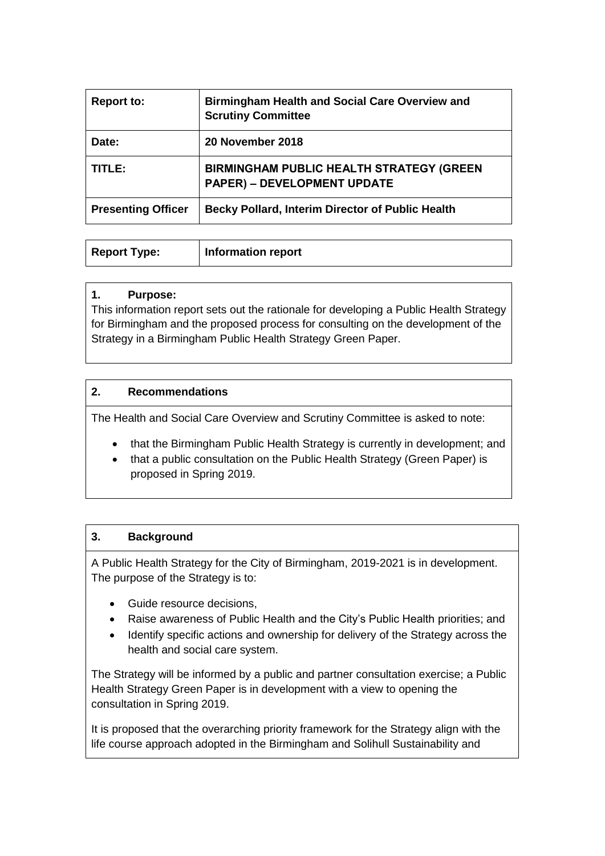| <b>Report to:</b>         | <b>Birmingham Health and Social Care Overview and</b><br><b>Scrutiny Committee</b>    |
|---------------------------|---------------------------------------------------------------------------------------|
| Date:                     | 20 November 2018                                                                      |
| TITLE:                    | <b>BIRMINGHAM PUBLIC HEALTH STRATEGY (GREEN</b><br><b>PAPER) - DEVELOPMENT UPDATE</b> |
| <b>Presenting Officer</b> | <b>Becky Pollard, Interim Director of Public Health</b>                               |

| Report Type: | <b>Information report</b> |
|--------------|---------------------------|
|              |                           |

#### **1. Purpose:**

This information report sets out the rationale for developing a Public Health Strategy for Birmingham and the proposed process for consulting on the development of the Strategy in a Birmingham Public Health Strategy Green Paper.

## **2. Recommendations**

The Health and Social Care Overview and Scrutiny Committee is asked to note:

- that the Birmingham Public Health Strategy is currently in development; and
- that a public consultation on the Public Health Strategy (Green Paper) is proposed in Spring 2019.

## **3. Background**

A Public Health Strategy for the City of Birmingham, 2019-2021 is in development. The purpose of the Strategy is to:

- Guide resource decisions,
- Raise awareness of Public Health and the City's Public Health priorities; and
- Identify specific actions and ownership for delivery of the Strategy across the health and social care system.

The Strategy will be informed by a public and partner consultation exercise; a Public Health Strategy Green Paper is in development with a view to opening the consultation in Spring 2019.

It is proposed that the overarching priority framework for the Strategy align with the life course approach adopted in the Birmingham and Solihull Sustainability and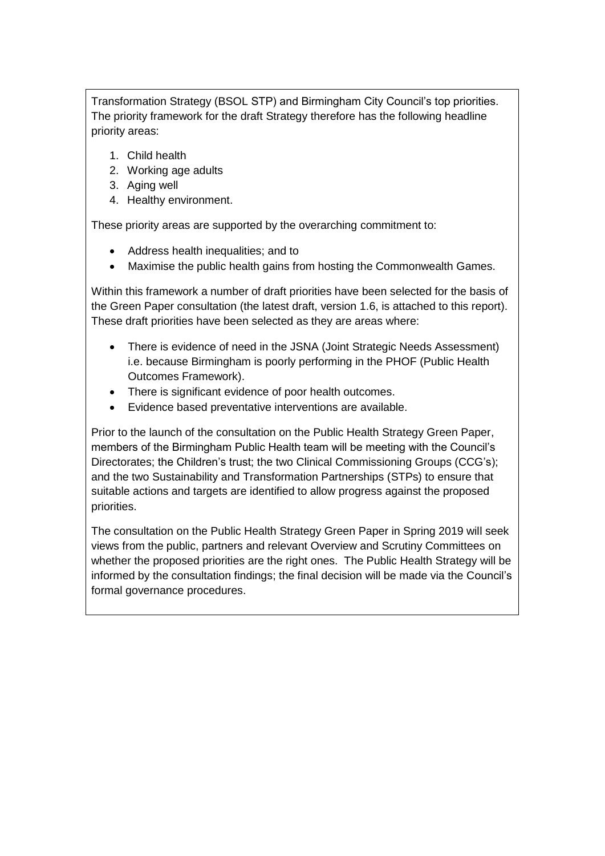Transformation Strategy (BSOL STP) and Birmingham City Council's top priorities. The priority framework for the draft Strategy therefore has the following headline priority areas:

- 1. Child health
- 2. Working age adults
- 3. Aging well
- 4. Healthy environment.

These priority areas are supported by the overarching commitment to:

- Address health inequalities; and to
- Maximise the public health gains from hosting the Commonwealth Games.

Within this framework a number of draft priorities have been selected for the basis of the Green Paper consultation (the latest draft, version 1.6, is attached to this report). These draft priorities have been selected as they are areas where:

- There is evidence of need in the JSNA (Joint Strategic Needs Assessment) i.e. because Birmingham is poorly performing in the PHOF (Public Health Outcomes Framework).
- There is significant evidence of poor health outcomes.
- Evidence based preventative interventions are available.

Prior to the launch of the consultation on the Public Health Strategy Green Paper, members of the Birmingham Public Health team will be meeting with the Council's Directorates; the Children's trust; the two Clinical Commissioning Groups (CCG's); and the two Sustainability and Transformation Partnerships (STPs) to ensure that suitable actions and targets are identified to allow progress against the proposed priorities.

The consultation on the Public Health Strategy Green Paper in Spring 2019 will seek views from the public, partners and relevant Overview and Scrutiny Committees on whether the proposed priorities are the right ones. The Public Health Strategy will be informed by the consultation findings; the final decision will be made via the Council's formal governance procedures.